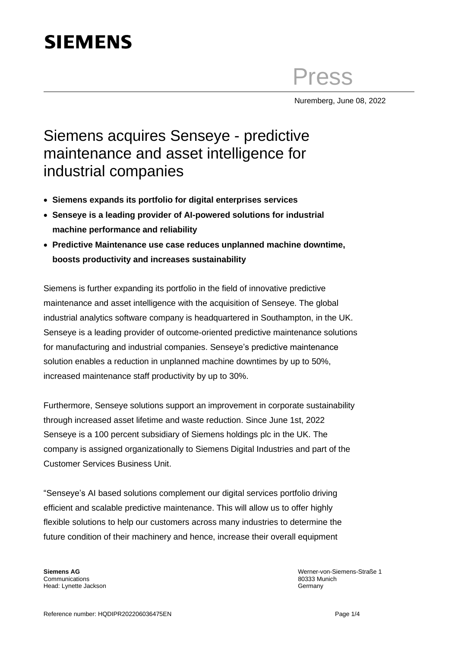# **SIEMENS**

Press

Nuremberg, June 08, 2022

## Siemens acquires Senseye - predictive maintenance and asset intelligence for industrial companies

- **Siemens expands its portfolio for digital enterprises services**
- **Senseye is a leading provider of AI-powered solutions for industrial machine performance and reliability**
- **Predictive Maintenance use case reduces unplanned machine downtime, boosts productivity and increases sustainability**

Siemens is further expanding its portfolio in the field of innovative predictive maintenance and asset intelligence with the acquisition of Senseye. The global industrial analytics software company is headquartered in Southampton, in the UK. Senseye is a leading provider of outcome-oriented predictive maintenance solutions for manufacturing and industrial companies. Senseye's predictive maintenance solution enables a reduction in unplanned machine downtimes by up to 50%, increased maintenance staff productivity by up to 30%.

Furthermore, Senseye solutions support an improvement in corporate sustainability through increased asset lifetime and waste reduction. Since June 1st, 2022 Senseye is a 100 percent subsidiary of Siemens holdings plc in the UK. The company is assigned organizationally to Siemens Digital Industries and part of the Customer Services Business Unit.

"Senseye's AI based solutions complement our digital services portfolio driving efficient and scalable predictive maintenance. This will allow us to offer highly flexible solutions to help our customers across many industries to determine the future condition of their machinery and hence, increase their overall equipment

**Siemens AG** Communications Head: Lynette Jackson Werner-von-Siemens-Straße 1 80333 Munich Germany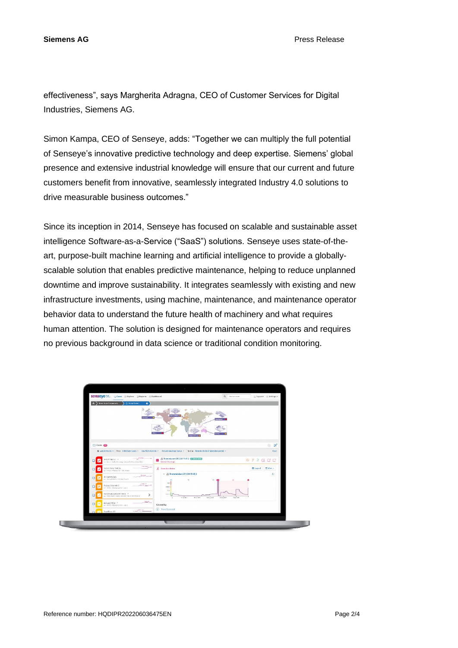**Siemens AG** Press Release

effectiveness", says Margherita Adragna, CEO of Customer Services for Digital Industries, Siemens AG.

Simon Kampa, CEO of Senseye, adds: "Together we can multiply the full potential of Senseye's innovative predictive technology and deep expertise. Siemens' global presence and extensive industrial knowledge will ensure that our current and future customers benefit from innovative, seamlessly integrated Industry 4.0 solutions to drive measurable business outcomes."

Since its inception in 2014, Senseye has focused on scalable and sustainable asset intelligence Software-as-a-Service ("SaaS") solutions. Senseye uses state-of-theart, purpose-built machine learning and artificial intelligence to provide a globallyscalable solution that enables predictive maintenance, helping to reduce unplanned downtime and improve sustainability. It integrates seamlessly with existing and new infrastructure investments, using machine, maintenance, and maintenance operator behavior data to understand the future health of machinery and what requires human attention. The solution is designed for maintenance operators and requires no previous background in data science or traditional condition monitoring.

|                                                                                        | SCIISCYCM. Cases @Explore BRoports HDashboard<br>Q Find an asset                                                                       | [] Support [6] Settings =                |
|----------------------------------------------------------------------------------------|----------------------------------------------------------------------------------------------------------------------------------------|------------------------------------------|
| A > Smart Auto Components<br><b>Cr Victor Gobal</b><br>$\bullet$                       |                                                                                                                                        |                                          |
| <b>CES Gal</b>                                                                         | <b>Matistan</b><br>Who all Mone III                                                                                                    |                                          |
| Cases 60                                                                               |                                                                                                                                        | 室<br>ū.                                  |
|                                                                                        | ■ Last 24 Months + Filter Only Open Cases + Any Work Activity + Any Acknowledge Status + Sert by Attention Index (Highest to Lowest) + | Reset                                    |
| BH2LSTHES1 F<br>₩<br>□<br>-- Nrc1 - With Homing - Station foll Hom 2 List CD 3         | @ Transmission DT1344 THR 3 2 TRANSMIT<br>Opened Shours ago                                                                            | $0 7700$                                 |
| ifmmo_<br>Extract Pump THR 3.8<br>$\Box$<br>W<br>as +174135 + Malong Hall + UAT Milera | A Attention Index                                                                                                                      | $\equiv$ View $\sim$<br><b>El Legend</b> |
| <b>RONAN</b><br>ID Fas MX Z265<br>$\Box$<br>lΜ                                         | - (b) Transmission DT1344 THR 3                                                                                                        | o                                        |
| man Henry Industry's Cooling Towers<br>2. Main Alph                                    | $n\tau$<br>719.0                                                                                                                       |                                          |
| Product Slow MX 2<br>O<br>Corp. - Ishlanda - 2019 - John                               |                                                                                                                                        |                                          |
| Transmission DT1344 THR3 2<br>□<br>HET TO TAX STATE / MELTING WAS POWER MADE ON THE    | 15r<br>Arrel<br>to assert<br>during.<br>a deix bank<br>٠                                                                               |                                          |
| payer.<br>Extinudes MIX 3 /<br>$\Box$<br>me: PHOS - Packaging Hot > Une 2              | szegazn.<br><b>KEKAS ASS</b><br>Caused by:<br>(8) Trend Detected                                                                       |                                          |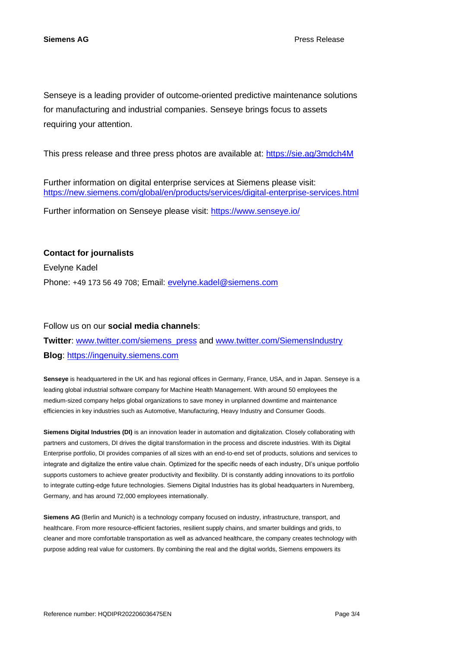Senseye is a leading provider of outcome-oriented predictive maintenance solutions for manufacturing and industrial companies. Senseye brings focus to assets requiring your attention.

This press release and three press photos are available at:<https://sie.ag/3mdch4M>

Further information on digital enterprise services at Siemens please visit: <https://new.siemens.com/global/en/products/services/digital-enterprise-services.html>

Further information on Senseye please visit:<https://www.senseye.io/>

#### **Contact for journalists**

Evelyne Kadel Phone: +49 173 56 49 708; Email: [evelyne.kadel@siemens.com](mailto:evelyne.kadel@siemens.com)

#### Follow us on our **social media channels**:

### **Twitter**: [www.twitter.com/siemens\\_press](http://www.twitter.com/siemens_press) and [www.twitter.com/SiemensIndustry](http://www.twitter.com/SiemensIndustry) **Blog**: [https://ingenuity.siemens.com](https://ingenuity.siemens.com/)

**Senseye** is headquartered in the UK and has regional offices in Germany, France, USA, and in Japan. Senseye is a leading global industrial software company for Machine Health Management. With around 50 employees the medium-sized company helps global organizations to save money in unplanned downtime and maintenance efficiencies in key industries such as Automotive, Manufacturing, Heavy Industry and Consumer Goods.

**Siemens Digital Industries (DI)** is an innovation leader in automation and digitalization. Closely collaborating with partners and customers, DI drives the digital transformation in the process and discrete industries. With its Digital Enterprise portfolio, DI provides companies of all sizes with an end-to-end set of products, solutions and services to integrate and digitalize the entire value chain. Optimized for the specific needs of each industry, DI's unique portfolio supports customers to achieve greater productivity and flexibility. DI is constantly adding innovations to its portfolio to integrate cutting-edge future technologies. Siemens Digital Industries has its global headquarters in Nuremberg, Germany, and has around 72,000 employees internationally.

**Siemens AG** (Berlin and Munich) is a technology company focused on industry, infrastructure, transport, and healthcare. From more resource-efficient factories, resilient supply chains, and smarter buildings and grids, to cleaner and more comfortable transportation as well as advanced healthcare, the company creates technology with purpose adding real value for customers. By combining the real and the digital worlds, Siemens empowers its